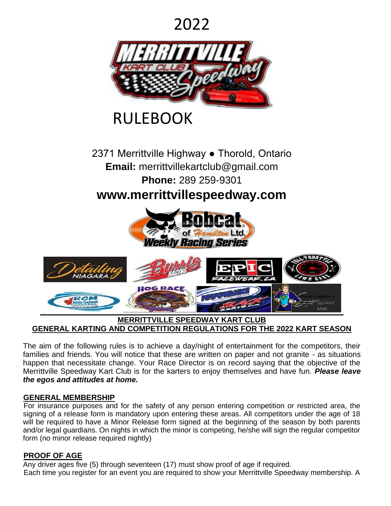# 2022



# RULEBOOK

2371 Merrittville Highway ● Thorold, Ontario **Email:** merrittvillekartclub@gmail.com **Phone:** 289 259-9301

**www.merrittvillespeedway.com** 



#### **MERRITTVILLE SPEEDWAY KART CLUB GENERAL KARTING AND COMPETITION REGULATIONS FOR THE 2022 KART SEASON**

The aim of the following rules is to achieve a day/night of entertainment for the competitors, their families and friends. You will notice that these are written on paper and not granite - as situations happen that necessitate change. Your Race Director is on record saying that the objective of the Merrittville Speedway Kart Club is for the karters to enjoy themselves and have fun. *Please leave the egos and attitudes at home.* 

#### **GENERAL MEMBERSHIP**

For insurance purposes and for the safety of any person entering competition or restricted area, the signing of a release form is mandatory upon entering these areas. All competitors under the age of 18 will be required to have a Minor Release form signed at the beginning of the season by both parents and/or legal guardians. On nights in which the minor is competing, he/she will sign the regular competitor form (no minor release required nightly)

#### **PROOF OF AGE**

Any driver ages five (5) through seventeen (17) must show proof of age if required. Each time you register for an event you are required to show your Merrittville Speedway membership. A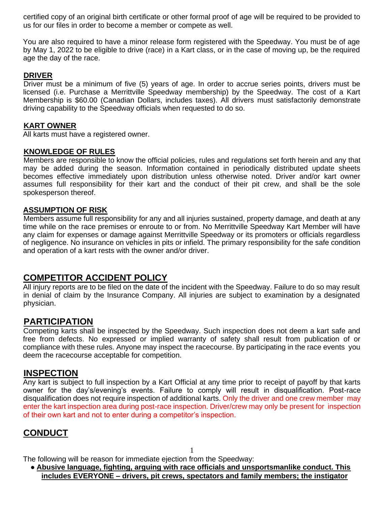certified copy of an original birth certificate or other formal proof of age will be required to be provided to us for our files in order to become a member or compete as well.

You are also required to have a minor release form registered with the Speedway. You must be of age by May 1, 2022 to be eligible to drive (race) in a Kart class, or in the case of moving up, be the required age the day of the race.

#### **DRIVER**

Driver must be a minimum of five (5) years of age. In order to accrue series points, drivers must be licensed (i.e. Purchase a Merrittville Speedway membership) by the Speedway. The cost of a Kart Membership is \$60.00 (Canadian Dollars, includes taxes). All drivers must satisfactorily demonstrate driving capability to the Speedway officials when requested to do so.

#### **KART OWNER**

All karts must have a registered owner.

#### **KNOWLEDGE OF RULES**

Members are responsible to know the official policies, rules and regulations set forth herein and any that may be added during the season. Information contained in periodically distributed update sheets becomes effective immediately upon distribution unless otherwise noted. Driver and/or kart owner assumes full responsibility for their kart and the conduct of their pit crew, and shall be the sole spokesperson thereof.

#### **ASSUMPTION OF RISK**

Members assume full responsibility for any and all injuries sustained, property damage, and death at any time while on the race premises or enroute to or from. No Merrittville Speedway Kart Member will have any claim for expenses or damage against Merrittville Speedway or its promoters or officials regardless of negligence. No insurance on vehicles in pits or infield. The primary responsibility for the safe condition and operation of a kart rests with the owner and/or driver.

#### **COMPETITOR ACCIDENT POLICY**

All injury reports are to be filed on the date of the incident with the Speedway. Failure to do so may result in denial of claim by the Insurance Company. All injuries are subject to examination by a designated physician.

#### **PARTICIPATION**

Competing karts shall be inspected by the Speedway. Such inspection does not deem a kart safe and free from defects. No expressed or implied warranty of safety shall result from publication of or compliance with these rules. Anyone may inspect the racecourse. By participating in the race events you deem the racecourse acceptable for competition.

#### **INSPECTION**

Any kart is subject to full inspection by a Kart Official at any time prior to receipt of payoff by that karts owner for the day's/evening's events. Failure to comply will result in disqualification. Post-race disqualification does not require inspection of additional karts. Only the driver and one crew member may enter the kart inspection area during post-race inspection. Driver/crew may only be present for inspection of their own kart and not to enter during a competitor's inspection.

#### **CONDUCT**

1

The following will be reason for immediate ejection from the Speedway:

● **Abusive language, fighting, arguing with race officials and unsportsmanlike conduct. This includes EVERYONE – drivers, pit crews, spectators and family members; the instigator**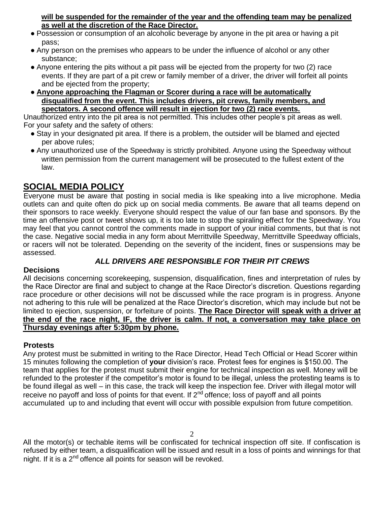**will be suspended for the remainder of the year and the offending team may be penalized as well at the discretion of the Race Director.**

- Possession or consumption of an alcoholic beverage by anyone in the pit area or having a pit pass;
- Any person on the premises who appears to be under the influence of alcohol or any other substance;
- Anyone entering the pits without a pit pass will be ejected from the property for two (2) race events. If they are part of a pit crew or family member of a driver, the driver will forfeit all points and be ejected from the property;
- **Anyone approaching the Flagman or Scorer during a race will be automatically disqualified from the event. This includes drivers, pit crews, family members, and spectators. A second offence will result in ejection for two (2) race events.**

Unauthorized entry into the pit area is not permitted. This includes other people's pit areas as well. For your safety and the safety of others:

- Stay in your designated pit area. If there is a problem, the outsider will be blamed and ejected per above rules;
- Any unauthorized use of the Speedway is strictly prohibited. Anyone using the Speedway without written permission from the current management will be prosecuted to the fullest extent of the law.

### **SOCIAL MEDIA POLICY**

Everyone must be aware that posting in social media is like speaking into a live microphone. Media outlets can and quite often do pick up on social media comments. Be aware that all teams depend on their sponsors to race weekly. Everyone should respect the value of our fan base and sponsors. By the time an offensive post or tweet shows up, it is too late to stop the spiraling effect for the Speedway. You may feel that you cannot control the comments made in support of your initial comments, but that is not the case. Negative social media in any form about Merrittville Speedway, Merrittville Speedway officials, or racers will not be tolerated. Depending on the severity of the incident, fines or suspensions may be assessed.

#### *ALL DRIVERS ARE RESPONSIBLE FOR THEIR PIT CREWS*

#### **Decisions**

All decisions concerning scorekeeping, suspension, disqualification, fines and interpretation of rules by the Race Director are final and subject to change at the Race Director's discretion. Questions regarding race procedure or other decisions will not be discussed while the race program is in progress. Anyone not adhering to this rule will be penalized at the Race Director's discretion, which may include but not be limited to ejection, suspension, or forfeiture of points. **The Race Director will speak with a driver at the end of the race night, IF, the driver is calm. If not, a conversation may take place on Thursday evenings after 5:30pm by phone.**

#### **Protests**

Any protest must be submitted in writing to the Race Director, Head Tech Official or Head Scorer within 15 minutes following the completion of **your** division's race. Protest fees for engines is \$150.00. The team that applies for the protest must submit their engine for technical inspection as well. Money will be refunded to the protester if the competitor's motor is found to be illegal, unless the protesting teams is to be found illegal as well – in this case, the track will keep the inspection fee. Driver with illegal motor will receive no payoff and loss of points for that event. If 2<sup>nd</sup> offence; loss of payoff and all points accumulated up to and including that event will occur with possible expulsion from future competition.

All the motor(s) or techable items will be confiscated for technical inspection off site. If confiscation is refused by either team, a disqualification will be issued and result in a loss of points and winnings for that night. If it is a  $2<sup>nd</sup>$  offence all points for season will be revoked.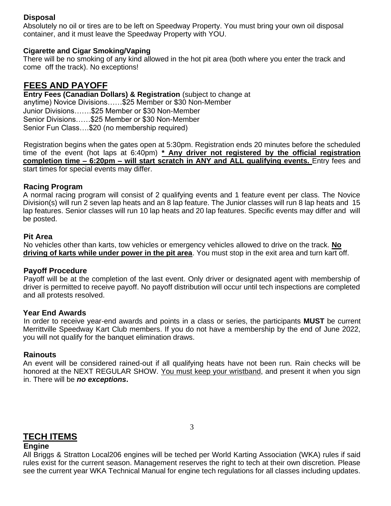#### **Disposal**

Absolutely no oil or tires are to be left on Speedway Property. You must bring your own oil disposal container, and it must leave the Speedway Property with YOU.

#### **Cigarette and Cigar Smoking/Vaping**

There will be no smoking of any kind allowed in the hot pit area (both where you enter the track and come off the track). No exceptions!

#### **FEES AND PAYOFF**

**Entry Fees (Canadian Dollars) & Registration** (subject to change at anytime) Novice Divisions……\$25 Member or \$30 Non-Member Junior Divisions…….\$25 Member or \$30 Non-Member Senior Divisions……\$25 Member or \$30 Non-Member Senior Fun Class….\$20 (no membership required)

Registration begins when the gates open at 5:30pm. Registration ends 20 minutes before the scheduled time of the event (hot laps at 6:40pm) **\* Any driver not registered by the official registration completion time – 6:20pm – will start scratch in ANY and ALL qualifying events.** Entry fees and start times for special events may differ.

#### **Racing Program**

A normal racing program will consist of 2 qualifying events and 1 feature event per class. The Novice Division(s) will run 2 seven lap heats and an 8 lap feature. The Junior classes will run 8 lap heats and 15 lap features. Senior classes will run 10 lap heats and 20 lap features. Specific events may differ and will be posted.

#### **Pit Area**

No vehicles other than karts, tow vehicles or emergency vehicles allowed to drive on the track. **No driving of karts while under power in the pit area**. You must stop in the exit area and turn kart off.

#### **Payoff Procedure**

Payoff will be at the completion of the last event. Only driver or designated agent with membership of driver is permitted to receive payoff. No payoff distribution will occur until tech inspections are completed and all protests resolved.

#### **Year End Awards**

In order to receive year-end awards and points in a class or series, the participants **MUST** be current Merrittville Speedway Kart Club members. If you do not have a membership by the end of June 2022, you will not qualify for the banquet elimination draws.

#### **Rainouts**

An event will be considered rained-out if all qualifying heats have not been run. Rain checks will be honored at the NEXT REGULAR SHOW. You must keep your wristband, and present it when you sign in. There will be *no exceptions***.**

#### **TECH ITEMS**

#### **Engine**

All Briggs & Stratton Local206 engines will be teched per World Karting Association (WKA) rules if said rules exist for the current season. Management reserves the right to tech at their own discretion. Please see the current year WKA Technical Manual for engine tech regulations for all classes including updates.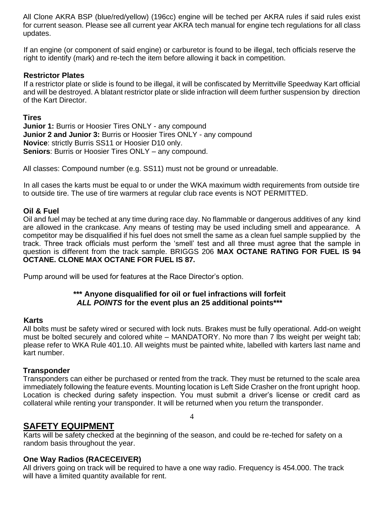All Clone AKRA BSP (blue/red/yellow) (196cc) engine will be teched per AKRA rules if said rules exist for current season. Please see all current year AKRA tech manual for engine tech regulations for all class updates.

If an engine (or component of said engine) or carburetor is found to be illegal, tech officials reserve the right to identify (mark) and re-tech the item before allowing it back in competition.

#### **Restrictor Plates**

If a restrictor plate or slide is found to be illegal, it will be confiscated by Merrittville Speedway Kart official and will be destroyed. A blatant restrictor plate or slide infraction will deem further suspension by direction of the Kart Director.

#### **Tires**

**Junior 1: Burris or Hoosier Tires ONLY - any compound Junior 2 and Junior 3:** Burris or Hoosier Tires ONLY - any compound **Novice**: strictly Burris SS11 or Hoosier D10 only. **Seniors**: Burris or Hoosier Tires ONLY – any compound.

All classes: Compound number (e.g. SS11) must not be ground or unreadable.

In all cases the karts must be equal to or under the WKA maximum width requirements from outside tire to outside tire. The use of tire warmers at regular club race events is NOT PERMITTED.

#### **Oil & Fuel**

Oil and fuel may be teched at any time during race day. No flammable or dangerous additives of any kind are allowed in the crankcase. Any means of testing may be used including smell and appearance. A competitor may be disqualified if his fuel does not smell the same as a clean fuel sample supplied by the track. Three track officials must perform the 'smell' test and all three must agree that the sample in question is different from the track sample. BRIGGS 206 **MAX OCTANE RATING FOR FUEL IS 94 OCTANE. CLONE MAX OCTANE FOR FUEL IS 87.** 

Pump around will be used for features at the Race Director's option.

#### **\*\*\* Anyone disqualified for oil or fuel infractions will forfeit**  *ALL POINTS* **for the event plus an 25 additional points\*\*\***

#### **Karts**

All bolts must be safety wired or secured with lock nuts. Brakes must be fully operational. Add-on weight must be bolted securely and colored white – MANDATORY. No more than 7 lbs weight per weight tab; please refer to WKA Rule 401.10. All weights must be painted white, labelled with karters last name and kart number.

#### **Transponder**

Transponders can either be purchased or rented from the track. They must be returned to the scale area immediately following the feature events. Mounting location is Left Side Crasher on the front upright hoop. Location is checked during safety inspection. You must submit a driver's license or credit card as collateral while renting your transponder. It will be returned when you return the transponder.

4

**SAFETY EQUIPMENT**

Karts will be safety checked at the beginning of the season, and could be re-teched for safety on a random basis throughout the year.

#### **One Way Radios (RACECEIVER)**

All drivers going on track will be required to have a one way radio. Frequency is 454.000. The track will have a limited quantity available for rent.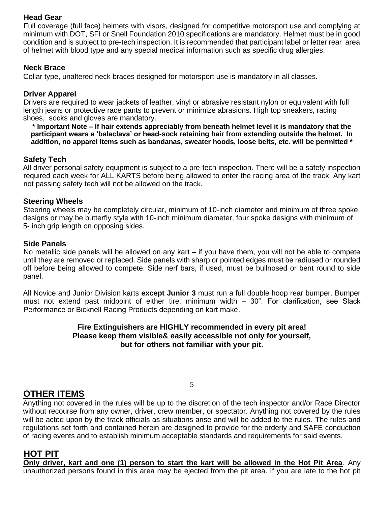#### **Head Gear**

Full coverage (full face) helmets with visors, designed for competitive motorsport use and complying at minimum with DOT, SFI or Snell Foundation 2010 specifications are mandatory. Helmet must be in good condition and is subject to pre-tech inspection. It is recommended that participant label or letter rear area of helmet with blood type and any special medical information such as specific drug allergies.

#### **Neck Brace**

Collar type, unaltered neck braces designed for motorsport use is mandatory in all classes.

#### **Driver Apparel**

Drivers are required to wear jackets of leather, vinyl or abrasive resistant nylon or equivalent with full length jeans or protective race pants to prevent or minimize abrasions. High top sneakers, racing shoes, socks and gloves are mandatory.

**\* Important Note – If hair extends appreciably from beneath helmet level it is mandatory that the participant wears a 'balaclava' or head-sock retaining hair from extending outside the helmet. In addition, no apparel items such as bandanas, sweater hoods, loose belts, etc. will be permitted \*** 

#### **Safety Tech**

All driver personal safety equipment is subject to a pre-tech inspection. There will be a safety inspection required each week for ALL KARTS before being allowed to enter the racing area of the track. Any kart not passing safety tech will not be allowed on the track.

#### **Steering Wheels**

Steering wheels may be completely circular, minimum of 10-inch diameter and minimum of three spoke designs or may be butterfly style with 10-inch minimum diameter, four spoke designs with minimum of 5- inch grip length on opposing sides.

#### **Side Panels**

No metallic side panels will be allowed on any kart – if you have them, you will not be able to compete until they are removed or replaced. Side panels with sharp or pointed edges must be radiused or rounded off before being allowed to compete. Side nerf bars, if used, must be bullnosed or bent round to side panel.

All Novice and Junior Division karts **except Junior 3** must run a full double hoop rear bumper. Bumper must not extend past midpoint of either tire. minimum width – 30". For clarification, see Slack Performance or Bicknell Racing Products depending on kart make.

#### **Fire Extinguishers are HIGHLY recommended in every pit area! Please keep them visible& easily accessible not only for yourself, but for others not familiar with your pit.**

#### **OTHER ITEMS**

Anything not covered in the rules will be up to the discretion of the tech inspector and/or Race Director without recourse from any owner, driver, crew member, or spectator. Anything not covered by the rules will be acted upon by the track officials as situations arise and will be added to the rules. The rules and regulations set forth and contained herein are designed to provide for the orderly and SAFE conduction of racing events and to establish minimum acceptable standards and requirements for said events.

5

#### **HOT PIT**

**Only driver, kart and one (1) person to start the kart will be allowed in the Hot Pit Area**. Any unauthorized persons found in this area may be ejected from the pit area. If you are late to the hot pit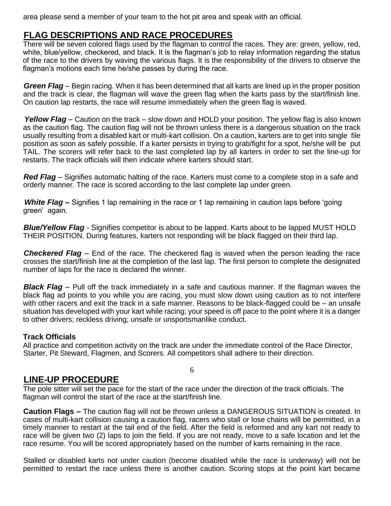area please send a member of your team to the hot pit area and speak with an official.

#### **FLAG DESCRIPTIONS AND RACE PROCEDURES**

There will be seven colored flags used by the flagman to control the races. They are: green, yellow, red, white, blue/yellow, checkered, and black. It is the flagman's job to relay information regarding the status of the race to the drivers by waving the various flags. It is the responsibility of the drivers to observe the flagman's motions each time he/she passes by during the race.

*Green Flag* – Begin racing. When it has been determined that all karts are lined up in the proper position and the track is clear, the flagman will wave the green flag when the karts pass by the start/finish line. On caution lap restarts, the race will resume immediately when the green flag is waved.

*Yellow Flag* – Caution on the track – slow down and HOLD your position. The yellow flag is also known as the caution flag. The caution flag will not be thrown unless there is a dangerous situation on the track usually resulting from a disabled kart or multi-kart collision. On a caution, karters are to get into single file position as soon as safely possible. If a karter persists in trying to grab/fight for a spot, he/she will be put TAIL. The scorers will refer back to the last completed lap by all karters in order to set the line-up for restarts. The track officials will then indicate where karters should start.

*Red Flag* – Signifies automatic halting of the race. Karters must come to a complete stop in a safe and orderly manner. The race is scored according to the last complete lap under green.

*White Flag* **–** Signifies 1 lap remaining in the race or 1 lap remaining in caution laps before 'going green' again.

*Blue/Yellow Flag -* Signifies competitor is about to be lapped. Karts about to be lapped MUST HOLD THEIR POSITION. During features, karters not responding will be black flagged on their third lap.

*Checkered Flag* – End of the race. The checkered flag is waved when the person leading the race crosses the start/finish line at the completion of the last lap. The first person to complete the designated number of laps for the race is declared the winner.

*Black Flag* – Pull off the track immediately in a safe and cautious manner. If the flagman waves the black flag ad points to you while you are racing, you must slow down using caution as to not interfere with other racers and exit the track in a safe manner. Reasons to be black-flagged could be – an unsafe situation has developed with your kart while racing; your speed is off pace to the point where it is a danger to other drivers; reckless driving; unsafe or unsportsmanlike conduct.

#### **Track Officials**

All practice and competition activity on the track are under the immediate control of the Race Director, Starter, Pit Steward, Flagmen, and Scorers. All competitors shall adhere to their direction.

#### **LINE-UP PROCEDURE**

The pole sitter will set the pace for the start of the race under the direction of the track officials. The flagman will control the start of the race at the start/finish line.

**Caution Flags –** The caution flag will not be thrown unless a DANGEROUS SITUATION is created. In cases of multi-kart collision causing a caution flag, racers who stall or lose chains will be permitted, in a timely manner to restart at the tail end of the field. After the field is reformed and any kart not ready to race will be given two (2) laps to join the field. If you are not ready, move to a safe location and let the race resume. You will be scored appropriately based on the number of karts remaining in the race.

Stalled or disabled karts not under caution (become disabled while the race is underway) will not be permitted to restart the race unless there is another caution. Scoring stops at the point kart became

6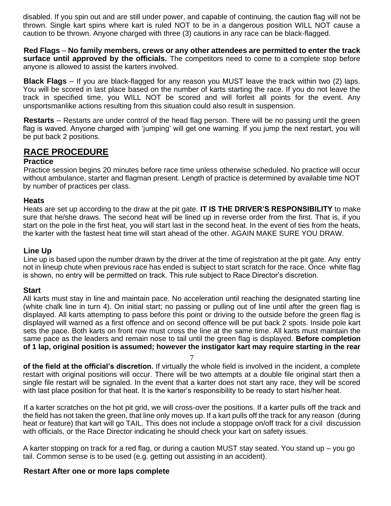disabled. If you spin out and are still under power, and capable of continuing, the caution flag will not be thrown. Single kart spins where kart is ruled NOT to be in a dangerous position WILL NOT cause a caution to be thrown. Anyone charged with three (3) cautions in any race can be black-flagged.

**Red Flags** – **No family members, crews or any other attendees are permitted to enter the track surface until approved by the officials.** The competitors need to come to a complete stop before anyone is allowed to assist the karters involved.

**Black Flags** – If you are black-flagged for any reason you MUST leave the track within two (2) laps. You will be scored in last place based on the number of karts starting the race. If you do not leave the track in specified time, you WILL NOT be scored and will forfeit all points for the event. Any unsportsmanlike actions resulting from this situation could also result in suspension.

**Restarts** – Restarts are under control of the head flag person. There will be no passing until the green flag is waved. Anyone charged with 'jumping' will get one warning. If you jump the next restart, you will be put back 2 positions.

### **RACE PROCEDURE**

#### **Practice**

Practice session begins 20 minutes before race time unless otherwise scheduled. No practice will occur without ambulance, starter and flagman present. Length of practice is determined by available time NOT by number of practices per class.

#### **Heats**

Heats are set up according to the draw at the pit gate. **IT IS THE DRIVER'S RESPONSIBILITY** to make sure that he/she draws. The second heat will be lined up in reverse order from the first. That is, if you start on the pole in the first heat, you will start last in the second heat. In the event of ties from the heats, the karter with the fastest heat time will start ahead of the other. AGAIN MAKE SURE YOU DRAW.

#### **Line Up**

Line up is based upon the number drawn by the driver at the time of registration at the pit gate. Any entry not in lineup chute when previous race has ended is subject to start scratch for the race. Once white flag is shown, no entry will be permitted on track. This rule subject to Race Director's discretion.

#### **Start**

All karts must stay in line and maintain pace. No acceleration until reaching the designated starting line (white chalk line in turn 4). On initial start; no passing or pulling out of line until after the green flag is displayed. All karts attempting to pass before this point or driving to the outside before the green flag is displayed will warned as a first offence and on second offence will be put back 2 spots. Inside pole kart sets the pace. Both karts on front row must cross the line at the same time. All karts must maintain the same pace as the leaders and remain nose to tail until the green flag is displayed. **Before completion of 1 lap, original position is assumed; however the instigator kart may require starting in the rear** 

7

**of the field at the official's discretion.** If virtually the whole field is involved in the incident, a complete restart with original positions will occur. There will be two attempts at a double file original start then a single file restart will be signaled. In the event that a karter does not start any race, they will be scored with last place position for that heat. It is the karter's responsibility to be ready to start his/her heat.

If a karter scratches on the hot pit grid, we will cross-over the positions. If a karter pulls off the track and the field has not taken the green, that line only moves up. If a kart pulls off the track for any reason (during heat or feature) that kart will go TAIL. This does not include a stoppage on/off track for a civil discussion with officials, or the Race Director indicating he should check your kart on safety issues.

A karter stopping on track for a red flag, or during a caution MUST stay seated. You stand up – you go tail. Common sense is to be used (e.g. getting out assisting in an accident).

#### **Restart After one or more laps complete**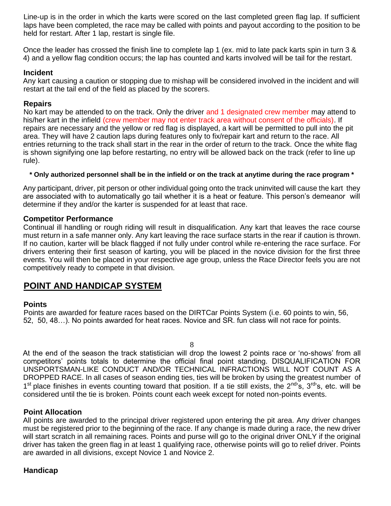Line-up is in the order in which the karts were scored on the last completed green flag lap. If sufficient laps have been completed, the race may be called with points and payout according to the position to be held for restart. After 1 lap, restart is single file.

Once the leader has crossed the finish line to complete lap 1 (ex. mid to late pack karts spin in turn 3 & 4) and a yellow flag condition occurs; the lap has counted and karts involved will be tail for the restart.

#### **Incident**

Any kart causing a caution or stopping due to mishap will be considered involved in the incident and will restart at the tail end of the field as placed by the scorers.

#### **Repairs**

No kart may be attended to on the track. Only the driver and 1 designated crew member may attend to his/her kart in the infield (crew member may not enter track area without consent of the officials). If repairs are necessary and the yellow or red flag is displayed, a kart will be permitted to pull into the pit area. They will have 2 caution laps during features only to fix/repair kart and return to the race. All entries returning to the track shall start in the rear in the order of return to the track. Once the white flag is shown signifying one lap before restarting, no entry will be allowed back on the track (refer to line up rule).

#### **\* Only authorized personnel shall be in the infield or on the track at anytime during the race program \***

Any participant, driver, pit person or other individual going onto the track uninvited will cause the kart they are associated with to automatically go tail whether it is a heat or feature. This person's demeanor will determine if they and/or the karter is suspended for at least that race.

#### **Competitor Performance**

Continual ill handling or rough riding will result in disqualification. Any kart that leaves the race course must return in a safe manner only. Any kart leaving the race surface starts in the rear if caution is thrown. If no caution, karter will be black flagged if not fully under control while re-entering the race surface. For drivers entering their first season of karting, you will be placed in the novice division for the first three events. You will then be placed in your respective age group, unless the Race Director feels you are not competitively ready to compete in that division.

### **POINT AND HANDICAP SYSTEM**

#### **Points**

Points are awarded for feature races based on the DIRTCar Points System (i.e. 60 points to win, 56, 52, 50, 48…). No points awarded for heat races. Novice and SR. fun class will not race for points.

8

At the end of the season the track statistician will drop the lowest 2 points race or 'no-shows' from all competitors' points totals to determine the official final point standing. DISQUALIFICATION FOR UNSPORTSMAN-LIKE CONDUCT AND/OR TECHNICAL INFRACTIONS WILL NOT COUNT AS A DROPPED RACE. In all cases of season ending ties, ties will be broken by using the greatest number of 1<sup>st</sup> place finishes in events counting toward that position. If a tie still exists, the 2<sup>nd</sup>'s, 3<sup>rd</sup>'s, etc. will be considered until the tie is broken. Points count each week except for noted non-points events.

#### **Point Allocation**

All points are awarded to the principal driver registered upon entering the pit area. Any driver changes must be registered prior to the beginning of the race. If any change is made during a race, the new driver will start scratch in all remaining races. Points and purse will go to the original driver ONLY if the original driver has taken the green flag in at least 1 qualifying race, otherwise points will go to relief driver. Points are awarded in all divisions, except Novice 1 and Novice 2.

#### **Handicap**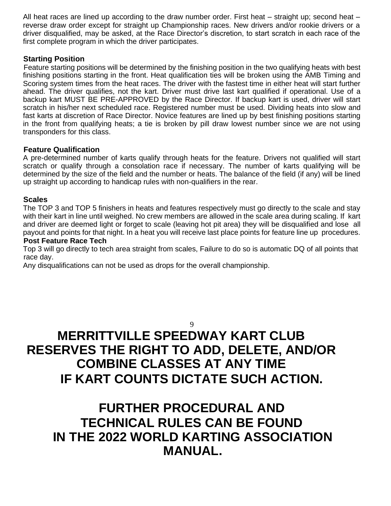All heat races are lined up according to the draw number order. First heat – straight up; second heat – reverse draw order except for straight up Championship races. New drivers and/or rookie drivers or a driver disqualified, may be asked, at the Race Director's discretion, to start scratch in each race of the first complete program in which the driver participates.

#### **Starting Position**

Feature starting positions will be determined by the finishing position in the two qualifying heats with best finishing positions starting in the front. Heat qualification ties will be broken using the AMB Timing and Scoring system times from the heat races. The driver with the fastest time in either heat will start further ahead. The driver qualifies, not the kart. Driver must drive last kart qualified if operational. Use of a backup kart MUST BE PRE-APPROVED by the Race Director. If backup kart is used, driver will start scratch in his/her next scheduled race. Registered number must be used. Dividing heats into slow and fast karts at discretion of Race Director. Novice features are lined up by best finishing positions starting in the front from qualifying heats; a tie is broken by pill draw lowest number since we are not using transponders for this class.

#### **Feature Qualification**

A pre-determined number of karts qualify through heats for the feature. Drivers not qualified will start scratch or qualify through a consolation race if necessary. The number of karts qualifying will be determined by the size of the field and the number or heats. The balance of the field (if any) will be lined up straight up according to handicap rules with non-qualifiers in the rear.

#### **Scales**

The TOP 3 and TOP 5 finishers in heats and features respectively must go directly to the scale and stay with their kart in line until weighed. No crew members are allowed in the scale area during scaling. If kart and driver are deemed light or forget to scale (leaving hot pit area) they will be disqualified and lose all payout and points for that night. In a heat you will receive last place points for feature line up procedures.

#### **Post Feature Race Tech**

Top 3 will go directly to tech area straight from scales, Failure to do so is automatic DQ of all points that race day.

Any disqualifications can not be used as drops for the overall championship.

#### 9

# **MERRITTVILLE SPEEDWAY KART CLUB RESERVES THE RIGHT TO ADD, DELETE, AND/OR COMBINE CLASSES AT ANY TIME IF KART COUNTS DICTATE SUCH ACTION.**

### **FURTHER PROCEDURAL AND TECHNICAL RULES CAN BE FOUND IN THE 2022 WORLD KARTING ASSOCIATION MANUAL.**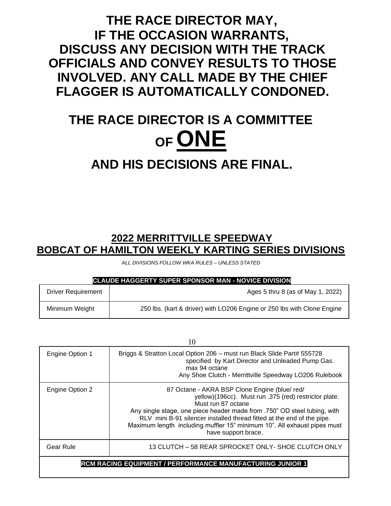## **THE RACE DIRECTOR MAY, IF THE OCCASION WARRANTS, DISCUSS ANY DECISION WITH THE TRACK OFFICIALS AND CONVEY RESULTS TO THOSE INVOLVED. ANY CALL MADE BY THE CHIEF FLAGGER IS AUTOMATICALLY CONDONED.**

# **THE RACE DIRECTOR IS A COMMITTEE OF ONE**

# **AND HIS DECISIONS ARE FINAL.**

### **2022 MERRITTVILLE SPEEDWAY BOBCAT OF HAMILTON WEEKLY KARTING SERIES DIVISIONS**

*ALL DIVISIONS FOLLOW WKA RULES – UNLESS STATED* 

#### **CLAUDE HAGGERTY SUPER SPONSOR MAN - NOVICE DIVISION**

| <b>Driver Requirement</b> | Ages 5 thru 8 (as of May 1, 2022)                                       |
|---------------------------|-------------------------------------------------------------------------|
| Minimum Weight            | 250 lbs. (kart & driver) with LO206 Engine or 250 lbs with Clone Engine |

| 10                                                               |                                                                                                                                                                                                                                                                                                                                                                                      |  |
|------------------------------------------------------------------|--------------------------------------------------------------------------------------------------------------------------------------------------------------------------------------------------------------------------------------------------------------------------------------------------------------------------------------------------------------------------------------|--|
| Engine Option 1                                                  | Briggs & Stratton Local Option 206 - must run Black Slide Part# 555728<br>specified by Kart Director and Unleaded Pump Gas.<br>max 94 octane<br>Any Shoe Clutch - Merrittville Speedway LO206 Rulebook                                                                                                                                                                               |  |
| Engine Option 2                                                  | 87 Octane - AKRA BSP Clone Engine (blue/red/<br>yellow)(196cc). Must run .375 (red) restrictor plate.<br>Must run 87 octane<br>Any single stage, one piece header made from .750" OD steel tubing, with<br>RLV mini B-91 silencer installed thread fitted at the end of the pipe.<br>Maximum length including muffler 15" minimum 10". All exhaust pipes must<br>have support brace. |  |
| Gear Rule                                                        | 13 CLUTCH – 58 REAR SPROCKET ONLY- SHOE CLUTCH ONLY                                                                                                                                                                                                                                                                                                                                  |  |
| <b>RCM RACING EQUIPMENT / PERFORMANCE MANUFACTURING JUNIOR 1</b> |                                                                                                                                                                                                                                                                                                                                                                                      |  |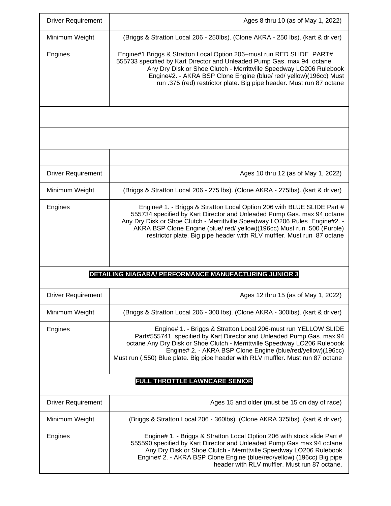| <b>Driver Requirement</b>                             | Ages 8 thru 10 (as of May 1, 2022)                                                                                                                                                                                                                                                                                                                                                   |  |
|-------------------------------------------------------|--------------------------------------------------------------------------------------------------------------------------------------------------------------------------------------------------------------------------------------------------------------------------------------------------------------------------------------------------------------------------------------|--|
| Minimum Weight                                        | (Briggs & Stratton Local 206 - 250lbs). (Clone AKRA - 250 lbs). (kart & driver)                                                                                                                                                                                                                                                                                                      |  |
| Engines                                               | Engine#1 Briggs & Stratton Local Option 206-must run RED SLIDE PART#<br>555733 specified by Kart Director and Unleaded Pump Gas. max 94 octane<br>Any Dry Disk or Shoe Clutch - Merrittville Speedway LO206 Rulebook<br>Engine#2. - AKRA BSP Clone Engine (blue/ red/ yellow)(196cc) Must<br>run .375 (red) restrictor plate. Big pipe header. Must run 87 octane                    |  |
|                                                       |                                                                                                                                                                                                                                                                                                                                                                                      |  |
|                                                       |                                                                                                                                                                                                                                                                                                                                                                                      |  |
|                                                       |                                                                                                                                                                                                                                                                                                                                                                                      |  |
| <b>Driver Requirement</b>                             | Ages 10 thru 12 (as of May 1, 2022)                                                                                                                                                                                                                                                                                                                                                  |  |
| Minimum Weight                                        | (Briggs & Stratton Local 206 - 275 lbs). (Clone AKRA - 275lbs). (kart & driver)                                                                                                                                                                                                                                                                                                      |  |
| Engines                                               | Engine# 1. - Briggs & Stratton Local Option 206 with BLUE SLIDE Part #<br>555734 specified by Kart Director and Unleaded Pump Gas. max 94 octane<br>Any Dry Disk or Shoe Clutch - Merrittville Speedway LO206 Rules Engine#2. -<br>AKRA BSP Clone Engine (blue/ red/ yellow)(196cc) Must run .500 (Purple)<br>restrictor plate. Big pipe header with RLV muffler. Must run 87 octane |  |
| DETAILING NIAGARA/ PERFORMANCE MANUFACTURING JUNIOR 3 |                                                                                                                                                                                                                                                                                                                                                                                      |  |
| <b>Driver Requirement</b>                             | Ages 12 thru 15 (as of May 1, 2022)                                                                                                                                                                                                                                                                                                                                                  |  |
| Minimum Weight                                        | (Briggs & Stratton Local 206 - 300 lbs). (Clone AKRA - 300lbs). (kart & driver)                                                                                                                                                                                                                                                                                                      |  |
| Engines                                               | Engine# 1. - Briggs & Stratton Local 206-must run YELLOW SLIDE<br>Part#555741 specified by Kart Director and Unleaded Pump Gas. max 94<br>octane Any Dry Disk or Shoe Clutch - Merrittville Speedway LO206 Rulebook<br>Engine# 2. - AKRA BSP Clone Engine (blue/red/yellow)(196cc)<br>Must run (.550) Blue plate. Big pipe header with RLV muffler. Must run 87 octane               |  |
|                                                       | FULL THROTTLE LAWNCARE SENIOR                                                                                                                                                                                                                                                                                                                                                        |  |
| <b>Driver Requirement</b>                             | Ages 15 and older (must be 15 on day of race)                                                                                                                                                                                                                                                                                                                                        |  |
| Minimum Weight                                        | (Briggs & Stratton Local 206 - 360lbs). (Clone AKRA 375lbs). (kart & driver)                                                                                                                                                                                                                                                                                                         |  |
| Engines                                               | Engine# 1. - Briggs & Stratton Local Option 206 with stock slide Part #<br>555590 specified by Kart Director and Unleaded Pump Gas max 94 octane<br>Any Dry Disk or Shoe Clutch - Merrittville Speedway LO206 Rulebook<br>Engine# 2. - AKRA BSP Clone Engine (blue/red/yellow) (196cc) Big pipe<br>header with RLV muffler. Must run 87 octane.                                      |  |